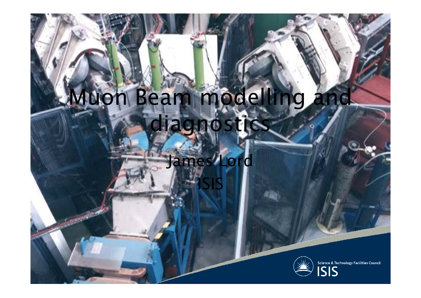#### Muon Beam modelling and diagnost

ISIS

#### James Lord

**COLUMNATION** 



Science & Technology Facilities Council<br>
S S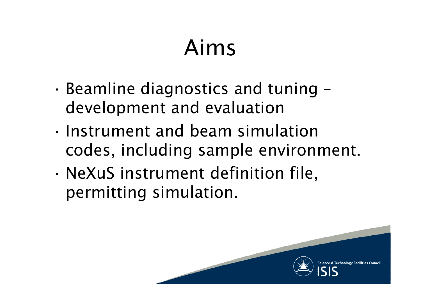# Aims

- • Beamline diagnostics and tuning – development and evaluation
- Instrument and beam simulation codes, including sample environment.
- • NeXuS instrument definition file, permitting simulation.

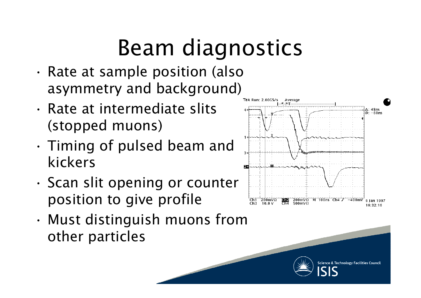# Beam diagnostics

- • Rate at sample position (also asymmetry and background)
- Rate at intermediate slits (stopped muons)
- • Timing of pulsed beam and kickers
- •. Scan slit opening or counter position to give profile
- Must distinguish muons from other particles





Science & Technology Facilities Council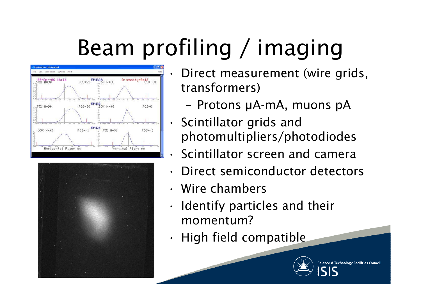# Beam profiling / imaging

•





- • Direct measurement (wire grids, transformers)
	- Protons μA-mA, muons pA
	- Scintillator grids and photomultipliers/photodiodes
- •Scintillator screen and camera
- •Direct semiconductor detectors
- Wire chambers
- • Identify particles and their momentum?
- •High field compatible



Science & Technology Facilities Council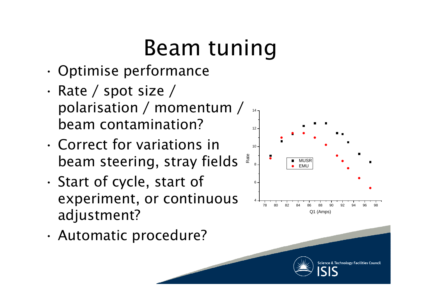## Beam tuning

- •Optimise performance
- • Rate / spot size / polarisation / momentum / <sup>14</sup> beam contamination?
- Correct for variations in  $10^{\circ}$ beam steering, stray fields
- • $\cdot$  Start of cycle, start of experiment, or continuous adjustment?
- •Automatic procedure?



Science & Technology Facilities Counci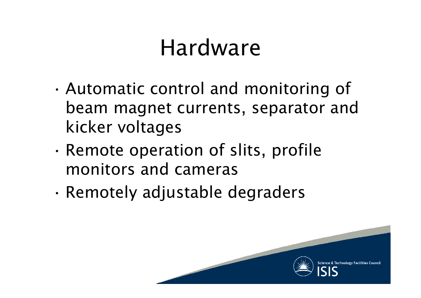#### Hardware

- • Automatic control and monitoring of beam magnet currents, separator and kicker voltages
- • $\cdot$  Remote operation of slits, profile monitors and cameras
- •Remotely adjustable degraders

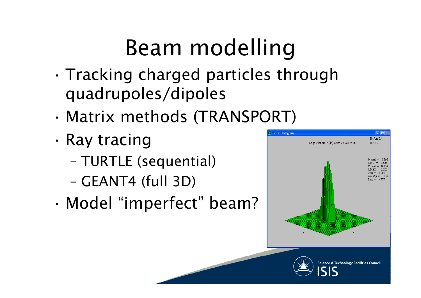# Beam modelling

- Tracking charged particles through quadrupoles/dipoles
- •Matrix methods (TRANSPORT)
- • Ray tracing
	- TURTLE (sequential)
	- GEANT4 (full 3D)
- •Model "imperfect" beam?





Science & Technology Facilities Council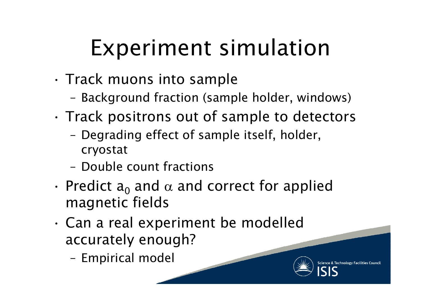## Experiment simulation

- •• Track muons into sample
	- Background fraction (sample holder, windows)
- •. Track positrons out of sample to detectors
	- Degrading effect of sample itself, holder, cryostat
	- Double count fractions
- Predict  $a_0$  and  $\alpha$  and correct for applied<br>magnetic fields
- • Can a real experiment be modelled accurately enough?
	- Empirical model